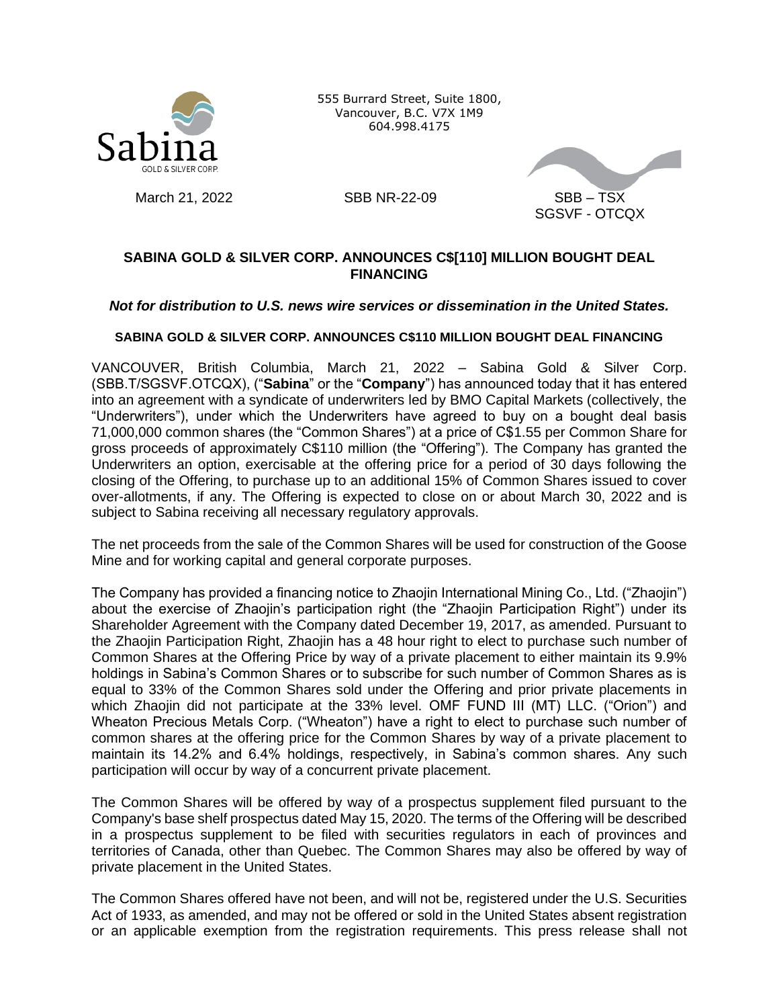

555 Burrard Street, Suite 1800, Vancouver, B.C. V7X 1M9 604.998.4175



# **SABINA GOLD & SILVER CORP. ANNOUNCES C\$[110] MILLION BOUGHT DEAL FINANCING**

## *Not for distribution to U.S. news wire services or dissemination in the United States.*

## **SABINA GOLD & SILVER CORP. ANNOUNCES C\$110 MILLION BOUGHT DEAL FINANCING**

VANCOUVER, British Columbia, March 21, 2022 – Sabina Gold & Silver Corp. (SBB.T/SGSVF.OTCQX), ("**Sabina**" or the "**Company**") has announced today that it has entered into an agreement with a syndicate of underwriters led by BMO Capital Markets (collectively, the "Underwriters"), under which the Underwriters have agreed to buy on a bought deal basis 71,000,000 common shares (the "Common Shares") at a price of C\$1.55 per Common Share for gross proceeds of approximately C\$110 million (the "Offering"). The Company has granted the Underwriters an option, exercisable at the offering price for a period of 30 days following the closing of the Offering, to purchase up to an additional 15% of Common Shares issued to cover over-allotments, if any. The Offering is expected to close on or about March 30, 2022 and is subject to Sabina receiving all necessary regulatory approvals.

The net proceeds from the sale of the Common Shares will be used for construction of the Goose Mine and for working capital and general corporate purposes.

The Company has provided a financing notice to Zhaojin International Mining Co., Ltd. ("Zhaojin") about the exercise of Zhaojin's participation right (the "Zhaojin Participation Right") under its Shareholder Agreement with the Company dated December 19, 2017, as amended. Pursuant to the Zhaojin Participation Right, Zhaojin has a 48 hour right to elect to purchase such number of Common Shares at the Offering Price by way of a private placement to either maintain its 9.9% holdings in Sabina's Common Shares or to subscribe for such number of Common Shares as is equal to 33% of the Common Shares sold under the Offering and prior private placements in which Zhaojin did not participate at the 33% level. OMF FUND III (MT) LLC. ("Orion") and Wheaton Precious Metals Corp. ("Wheaton") have a right to elect to purchase such number of common shares at the offering price for the Common Shares by way of a private placement to maintain its 14.2% and 6.4% holdings, respectively, in Sabina's common shares. Any such participation will occur by way of a concurrent private placement.

The Common Shares will be offered by way of a prospectus supplement filed pursuant to the Company's base shelf prospectus dated May 15, 2020. The terms of the Offering will be described in a prospectus supplement to be filed with securities regulators in each of provinces and territories of Canada, other than Quebec. The Common Shares may also be offered by way of private placement in the United States.

The Common Shares offered have not been, and will not be, registered under the U.S. Securities Act of 1933, as amended, and may not be offered or sold in the United States absent registration or an applicable exemption from the registration requirements. This press release shall not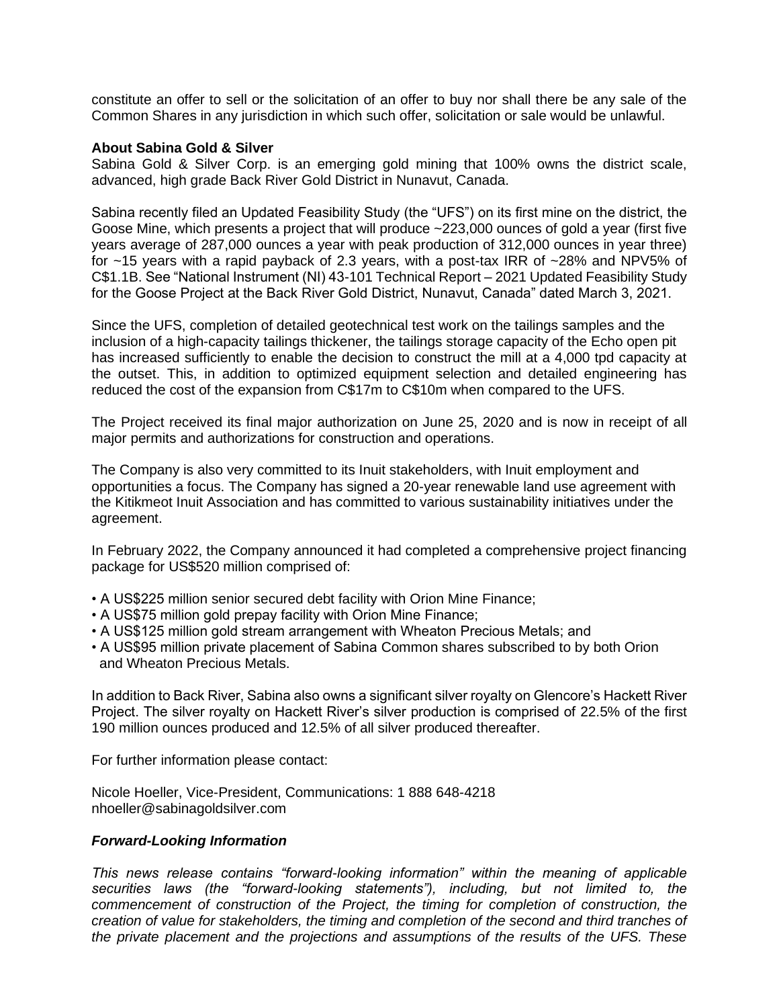constitute an offer to sell or the solicitation of an offer to buy nor shall there be any sale of the Common Shares in any jurisdiction in which such offer, solicitation or sale would be unlawful.

### **About Sabina Gold & Silver**

Sabina Gold & Silver Corp. is an emerging gold mining that 100% owns the district scale, advanced, high grade Back River Gold District in Nunavut, Canada.

Sabina recently filed an Updated Feasibility Study (the "UFS") on its first mine on the district, the Goose Mine, which presents a project that will produce ~223,000 ounces of gold a year (first five years average of 287,000 ounces a year with peak production of 312,000 ounces in year three) for ~15 years with a rapid payback of 2.3 years, with a post-tax IRR of ~28% and NPV5% of C\$1.1B. See "National Instrument (NI) 43-101 Technical Report – 2021 Updated Feasibility Study for the Goose Project at the Back River Gold District, Nunavut, Canada" dated March 3, 2021.

Since the UFS, completion of detailed geotechnical test work on the tailings samples and the inclusion of a high-capacity tailings thickener, the tailings storage capacity of the Echo open pit has increased sufficiently to enable the decision to construct the mill at a 4,000 tpd capacity at the outset. This, in addition to optimized equipment selection and detailed engineering has reduced the cost of the expansion from C\$17m to C\$10m when compared to the UFS.

The Project received its final major authorization on June 25, 2020 and is now in receipt of all major permits and authorizations for construction and operations.

The Company is also very committed to its Inuit stakeholders, with Inuit employment and opportunities a focus. The Company has signed a 20-year renewable land use agreement with the Kitikmeot Inuit Association and has committed to various sustainability initiatives under the agreement.

In February 2022, the Company announced it had completed a comprehensive project financing package for US\$520 million comprised of:

- A US\$225 million senior secured debt facility with Orion Mine Finance;
- A US\$75 million gold prepay facility with Orion Mine Finance;
- A US\$125 million gold stream arrangement with Wheaton Precious Metals; and
- A US\$95 million private placement of Sabina Common shares subscribed to by both Orion and Wheaton Precious Metals.

In addition to Back River, Sabina also owns a significant silver royalty on Glencore's Hackett River Project. The silver royalty on Hackett River's silver production is comprised of 22.5% of the first 190 million ounces produced and 12.5% of all silver produced thereafter.

For further information please contact:

Nicole Hoeller, Vice-President, Communications: 1 888 648-4218 nhoeller@sabinagoldsilver.com

### *Forward-Looking Information*

*This news release contains "forward-looking information" within the meaning of applicable securities laws (the "forward-looking statements"), including, but not limited to, the commencement of construction of the Project, the timing for completion of construction, the creation of value for stakeholders, the timing and completion of the second and third tranches of the private placement and the projections and assumptions of the results of the UFS. These*